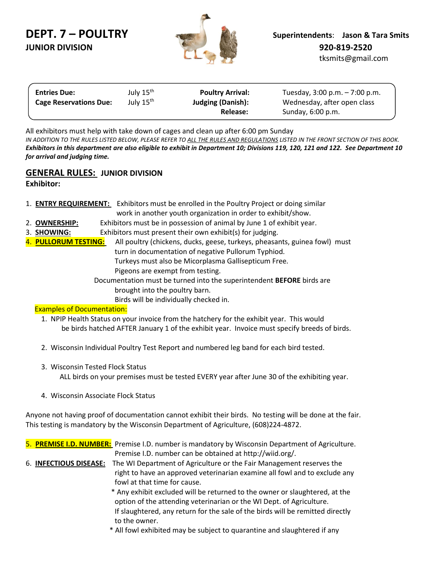# **JUNIOR DIVISION 920-819-2520**



| <b>Entries Due:</b>           | July 15 <sup>th</sup> | <b>Poultry Arrival:</b>  | Tuesday, $3:00$ p.m. $-7:00$ p.m. |  |
|-------------------------------|-----------------------|--------------------------|-----------------------------------|--|
| <b>Cage Reservations Due:</b> | July 15 <sup>th</sup> | <b>Judging (Danish):</b> | Wednesday, after open class       |  |
|                               |                       | Release:                 | Sunday, 6:00 p.m.                 |  |

All exhibitors must help with take down of cages and clean up after 6:00 pm Sunday *IN ADDITION TO THE RULES LISTED BELOW, PLEASE REFER TO ALL THE RULES AND REGULATIONS LISTED IN THE FRONT SECTION OF THIS BOOK. Exhibitors in this department are also eligible to exhibit in Department 10; Divisions 119, 120, 121 and 122. See Department 10 for arrival and judging time.*

## **GENERAL RULES: JUNIOR DIVISION**

**Exhibitor:**

- 1. **ENTRY REQUIREMENT:** Exhibitors must be enrolled in the Poultry Project or doing similar work in another youth organization in order to exhibit/show.
- 2. **OWNERSHIP:** Exhibitors must be in possession of animal by June 1 of exhibit year.
- 3. **SHOWING:** Exhibitors must present their own exhibit(s) for judging.
- 4. **PULLORUM TESTING:** All poultry (chickens, ducks, geese, turkeys, pheasants, guinea fowl) must turn in documentation of negative Pullorum Typhiod. Turkeys must also be Micorplasma Gallisepticum Free. Pigeons are exempt from testing.

 Documentation must be turned into the superintendent **BEFORE** birds are brought into the poultry barn.

Birds will be individually checked in.

## Examples of Documentation:

- 1. NPIP Health Status on your invoice from the hatchery for the exhibit year. This would be birds hatched AFTER January 1 of the exhibit year. Invoice must specify breeds of birds.
- 2. Wisconsin Individual Poultry Test Report and numbered leg band for each bird tested.
- 3. Wisconsin Tested Flock Status

ALL birds on your premises must be tested EVERY year after June 30 of the exhibiting year.

4. Wisconsin Associate Flock Status

Anyone not having proof of documentation cannot exhibit their birds. No testing will be done at the fair. This testing is mandatory by the Wisconsin Department of Agriculture, (608)224-4872.

|  | 5. PREMISE I.D. NUMBER: Premise I.D. number is mandatory by Wisconsin Department of Agriculture.   |
|--|----------------------------------------------------------------------------------------------------|
|  | Premise I.D. number can be obtained at http://wiid.org/.                                           |
|  | 6. <b>INFECTIOUS DISEASE:</b> The WI Department of Agriculture or the Fair Management reserves the |
|  | right to have an approved veterinarian examine all fowl and to exclude any                         |
|  | fowl at that time for cause.                                                                       |
|  | * Any exhibit excluded will be returned to the owner or slaughtered, at the                        |
|  | option of the attending veterinarian or the WI Dept. of Agriculture.                               |

- If slaughtered, any return for the sale of the birds will be remitted directly to the owner.
- \* All fowl exhibited may be subject to quarantine and slaughtered if any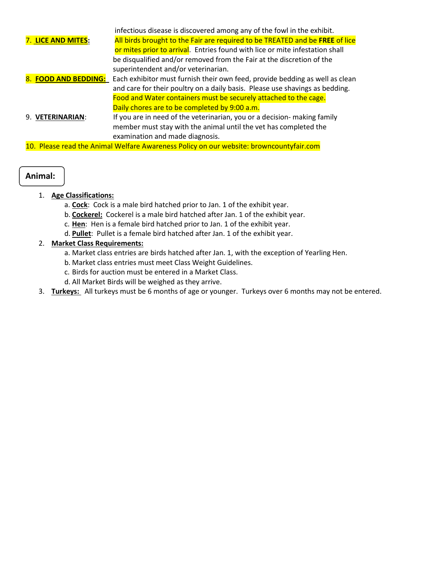|                                                                                         | infectious disease is discovered among any of the fowl in the exhibit.       |  |  |  |  |  |  |  |
|-----------------------------------------------------------------------------------------|------------------------------------------------------------------------------|--|--|--|--|--|--|--|
| 7. LICE AND MITES:                                                                      | All birds brought to the Fair are required to be TREATED and be FREE of lice |  |  |  |  |  |  |  |
|                                                                                         | or mites prior to arrival. Entries found with lice or mite infestation shall |  |  |  |  |  |  |  |
|                                                                                         | be disqualified and/or removed from the Fair at the discretion of the        |  |  |  |  |  |  |  |
|                                                                                         | superintendent and/or veterinarian.                                          |  |  |  |  |  |  |  |
| 8. FOOD AND BEDDING:                                                                    | Each exhibitor must furnish their own feed, provide bedding as well as clean |  |  |  |  |  |  |  |
|                                                                                         | and care for their poultry on a daily basis. Please use shavings as bedding. |  |  |  |  |  |  |  |
|                                                                                         | Food and Water containers must be securely attached to the cage.             |  |  |  |  |  |  |  |
|                                                                                         | Daily chores are to be completed by 9:00 a.m.                                |  |  |  |  |  |  |  |
| 9. VETERINARIAN:                                                                        | If you are in need of the veterinarian, you or a decision- making family     |  |  |  |  |  |  |  |
|                                                                                         | member must stay with the animal until the vet has completed the             |  |  |  |  |  |  |  |
|                                                                                         | examination and made diagnosis.                                              |  |  |  |  |  |  |  |
| 10. Please read the Animal Welfare Awareness Policy on our website: browncountyfair.com |                                                                              |  |  |  |  |  |  |  |

#### **Animal:**  $\overline{a}$

- 1. **Age Classifications:**
	- a. **Cock**: Cock is a male bird hatched prior to Jan. 1 of the exhibit year.
	- b. **Cockerel:** Cockerel is a male bird hatched after Jan. 1 of the exhibit year.
	- c. **Hen**: Hen is a female bird hatched prior to Jan. 1 of the exhibit year.
	- d. **Pullet**: Pullet is a female bird hatched after Jan. 1 of the exhibit year.

## 2. **Market Class Requirements:**

- a. Market class entries are birds hatched after Jan. 1, with the exception of Yearling Hen.
- b. Market class entries must meet Class Weight Guidelines.
- c. Birds for auction must be entered in a Market Class.
- d. All Market Birds will be weighed as they arrive.
- 3. **Turkeys:** All turkeys must be 6 months of age or younger. Turkeys over 6 months may not be entered.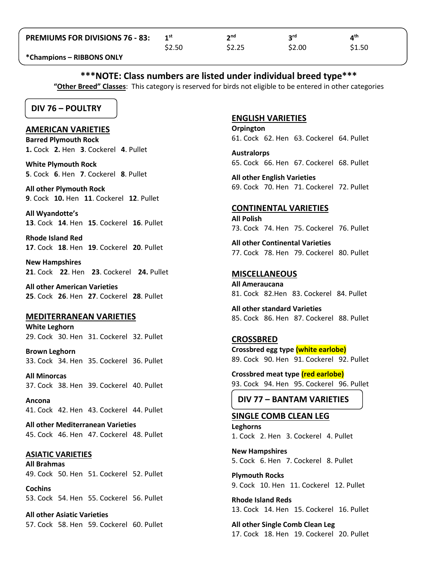| <b>PREMIUMS FOR DIVISIONS 76 - 83:</b> |        | າnd    | ord    | ⊿th    |
|----------------------------------------|--------|--------|--------|--------|
|                                        | \$2.50 | \$2.25 | \$2.00 | \$1.50 |

**\*Champions – RIBBONS ONLY**

# **\*\*\*NOTE: Class numbers are listed under individual breed type\*\*\***

**"Other Breed" Classes**: This category is reserved for birds not eligible to be entered in other categories

# **DIV 76 – POULTRY**

#### **AMERICAN VARIETIES**

**Barred Plymouth Rock 1.** Cock **2.** Hen **3**. Cockerel **4**. Pullet

**White Plymouth Rock 5**. Cock **6**. Hen **7**. Cockerel **8**. Pullet

**All other Plymouth Rock 9**. Cock **10.** Hen **11**. Cockerel **12**. Pullet

**All Wyandotte's 13**. Cock **14**. Hen **15**. Cockerel **16**. Pullet

**Rhode Island Red 17**. Cock **18**. Hen **19**. Cockerel **20**. Pullet

**New Hampshires 21**. Cock **22**. Hen **23**. Cockerel **24.** Pullet

**All other American Varieties 25**. Cock **26**. Hen **27**. Cockerel **28**. Pullet

## **MEDITERRANEAN VARIETIES**

**White Leghorn** 29. Cock 30. Hen 31. Cockerel 32. Pullet

**Brown Leghorn** 33. Cock 34. Hen 35. Cockerel 36. Pullet

**All Minorcas** 37. Cock 38. Hen 39. Cockerel 40. Pullet

**Ancona** 41. Cock 42. Hen 43. Cockerel 44. Pullet

**All other Mediterranean Varieties** 45. Cock 46. Hen 47. Cockerel 48. Pullet

#### **ASIATIC VARIETIES**

**All Brahmas** 49. Cock 50. Hen 51. Cockerel 52. Pullet

**Cochins** 53. Cock 54. Hen 55. Cockerel 56. Pullet

**All other Asiatic Varieties** 57. Cock 58. Hen 59. Cockerel 60. Pullet

#### **ENGLISH VARIETIES**

**Orpington** 61. Cock 62. Hen 63. Cockerel 64. Pullet

**Australorps** 65. Cock 66. Hen 67. Cockerel 68. Pullet

**All other English Varieties** 69. Cock 70. Hen 71. Cockerel 72. Pullet

## **CONTINENTAL VARIETIES**

**All Polish** 73. Cock 74. Hen 75. Cockerel 76. Pullet

**All other Continental Varieties** 77. Cock 78. Hen 79. Cockerel 80. Pullet

## **MISCELLANEOUS**

**All Ameraucana** 81. Cock 82.Hen 83. Cockerel 84. Pullet

**All other standard Varieties**  85. Cock 86. Hen 87. Cockerel 88. Pullet

# **CROSSBRED**

**Crossbred egg type (white earlobe)** 89. Cock 90. Hen 91. Cockerel 92. Pullet

**Crossbred meat type (red earlobe)** 93. Cock 94. Hen 95. Cockerel 96. Pullet

# **DIV 77 – BANTAM VARIETIES**

#### **SINGLE COMB CLEAN LEG**

**Leghorns** 1. Cock 2. Hen 3. Cockerel 4. Pullet

**New Hampshires** 5. Cock 6. Hen 7. Cockerel 8. Pullet

**Plymouth Rocks** 9. Cock 10. Hen 11. Cockerel 12. Pullet

**Rhode Island Reds** 13. Cock 14. Hen 15. Cockerel 16. Pullet

**All other Single Comb Clean Leg** 17. Cock 18. Hen 19. Cockerel 20. Pullet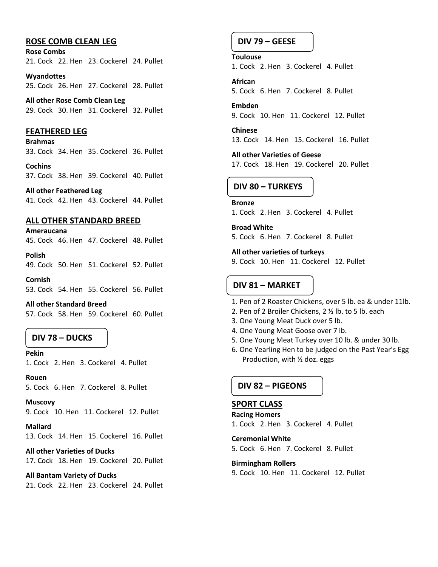## **ROSE COMB CLEAN LEG**

**Rose Combs** 21. Cock 22. Hen 23. Cockerel 24. Pullet

**Wyandottes** 25. Cock 26. Hen 27. Cockerel 28. Pullet

**All other Rose Comb Clean Leg** 29. Cock 30. Hen 31. Cockerel 32. Pullet

#### **FEATHERED LEG**

**Brahmas** 33. Cock 34. Hen 35. Cockerel 36. Pullet

**Cochins** 37. Cock 38. Hen 39. Cockerel 40. Pullet

**All other Feathered Leg** 41. Cock 42. Hen 43. Cockerel 44. Pullet

## **ALL OTHER STANDARD BREED**

**Ameraucana**

45. Cock 46. Hen 47. Cockerel 48. Pullet

**Polish** 49. Cock 50. Hen 51. Cockerel 52. Pullet

**Cornish** 53. Cock 54. Hen 55. Cockerel 56. Pullet

**All other Standard Breed** 57. Cock 58. Hen 59. Cockerel 60. Pullet

## **DIV 78 – DUCKS**

**Pekin**

1. Cock 2. Hen 3. Cockerel 4. Pullet

**Rouen** 5. Cock 6. Hen 7. Cockerel 8. Pullet

**Muscovy** 9. Cock 10. Hen 11. Cockerel 12. Pullet

**Mallard** 13. Cock 14. Hen 15. Cockerel 16. Pullet

**All other Varieties of Ducks** 17. Cock 18. Hen 19. Cockerel 20. Pullet

**All Bantam Variety of Ducks** 21. Cock 22. Hen 23. Cockerel 24. Pullet

# **DIV 79 – GEESE**

**Toulouse** 1. Cock 2. Hen 3. Cockerel 4. Pullet

**African** 5. Cock 6. Hen 7. Cockerel 8. Pullet

**Embden** 9. Cock 10. Hen 11. Cockerel 12. Pullet

**Chinese** 13. Cock 14. Hen 15. Cockerel 16. Pullet

**All other Varieties of Geese** 17. Cock 18. Hen 19. Cockerel 20. Pullet

## **DIV 80 – TURKEYS**

#### **Bronze**

1. Cock 2. Hen 3. Cockerel 4. Pullet

**Broad White** 5. Cock 6. Hen 7. Cockerel 8. Pullet

**All other varieties of turkeys**

9. Cock 10. Hen 11. Cockerel 12. Pullet

## **DIV 81 – MARKET**

- 1. Pen of 2 Roaster Chickens, over 5 lb. ea & under 11lb.
- 2. Pen of 2 Broiler Chickens, 2 ½ lb. to 5 lb. each
- 3. One Young Meat Duck over 5 lb.
- 4. One Young Meat Goose over 7 lb.
- 5. One Young Meat Turkey over 10 lb. & under 30 lb.
- 6. One Yearling Hen to be judged on the Past Year's Egg Production, with ½ doz. eggs

## **DIV 82 – PIGEONS**

## **SPORT CLASS**

**Racing Homers** 1. Cock 2. Hen 3. Cockerel 4. Pullet

**Ceremonial White** 5. Cock 6. Hen 7. Cockerel 8. Pullet

**Birmingham Rollers**

9. Cock 10. Hen 11. Cockerel 12. Pullet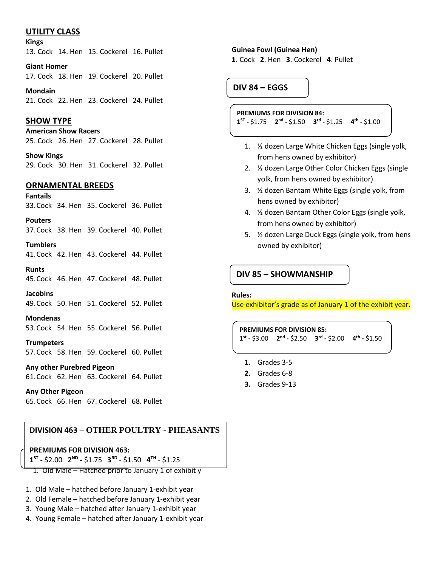## **UTILITY CLASS**

#### **Kings**

13. Cock 14. Hen 15. Cockerel 16. Pullet

**Giant Homer** 17. Cock 18. Hen 19. Cockerel 20. Pullet

**Mondain** 21. Cock 22. Hen 23. Cockerel 24. Pullet

## **SHOW TYPE**

**American Show Racers** 25. Cock 26. Hen 27. Cockerel 28. Pullet

**Show Kings** 29. Cock 30. Hen 31. Cockerel 32. Pullet

## **ORNAMENTAL BREEDS**

**Fantails** 33.Cock 34. Hen 35. Cockerel 36. Pullet

**Pouters** 37.Cock 38. Hen 39. Cockerel 40. Pullet

**Tumblers**

41.Cock 42. Hen 43. Cockerel 44. Pullet

**Runts** 45.Cock 46. Hen 47. Cockerel 48. Pullet

**Jacobins** 49.Cock 50. Hen 51. Cockerel 52. Pullet

**Mondenas** 53.Cock 54. Hen 55. Cockerel 56. Pullet

**Trumpeters** 57.Cock 58. Hen 59. Cockerel 60. Pullet

**Any other Purebred Pigeon** 61.Cock 62. Hen 63. Cockerel 64. Pullet

**Any Other Pigeon** 65.Cock 66. Hen 67. Cockerel 68. Pullet

## **DIVISION 463 – OTHER POULTRY - PHEASANTS**

**PREMIUMS FOR DIVISION 463:**

 $1^{ST}$  - \$2.00  $2^{ND}$  - \$1.75  $3^{RD}$  - \$1.50  $4^{TH}$  - \$1.25

- 1. Old Male Hatched prior to January 1 of exhibit y
- 1. Old Male hatched before January 1-exhibit year
- 2. Old Female hatched before January 1-exhibit year
- 3. Young Male hatched after January 1-exhibit year
- 4. Young Female hatched after January 1-exhibit year

#### **Guinea Fowl (Guinea Hen)**

**1**. Cock **2**. Hen **3**. Cockerel **4**. Pullet

# **DIV 84 – EGGS**

#### **PREMIUMS FOR DIVISION 84:**

**1 ST -** \$1.75 **2 nd -** \$1.50 **3 rd -** \$1.25 **4 th -** \$1.00

- 1. ½ dozen Large White Chicken Eggs (single yolk, from hens owned by exhibitor)
- 2. ½ dozen Large Other Color Chicken Eggs (single yolk, from hens owned by exhibitor)
- 3. ½ dozen Bantam White Eggs (single yolk, from hens owned by exhibitor)
- 4. ½ dozen Bantam Other Color Eggs (single yolk, from hens owned by exhibitor)
- 5. ½ dozen Large Duck Eggs (single yolk, from hens owned by exhibitor)

**DIV 85 – SHOWMANSHIP**

#### **Rules:**

Use exhibitor's grade as of January 1 of the exhibit year.

**PREMIUMS FOR DIVISION 85: 1 st -** \$3.00 **2 nd -** \$2.50 **3 rd -** \$2.00 **4 th -** \$1.50

- **1.** Grades 3-5
- **2.** Grades 6-8
- **3.** Grades 9-13